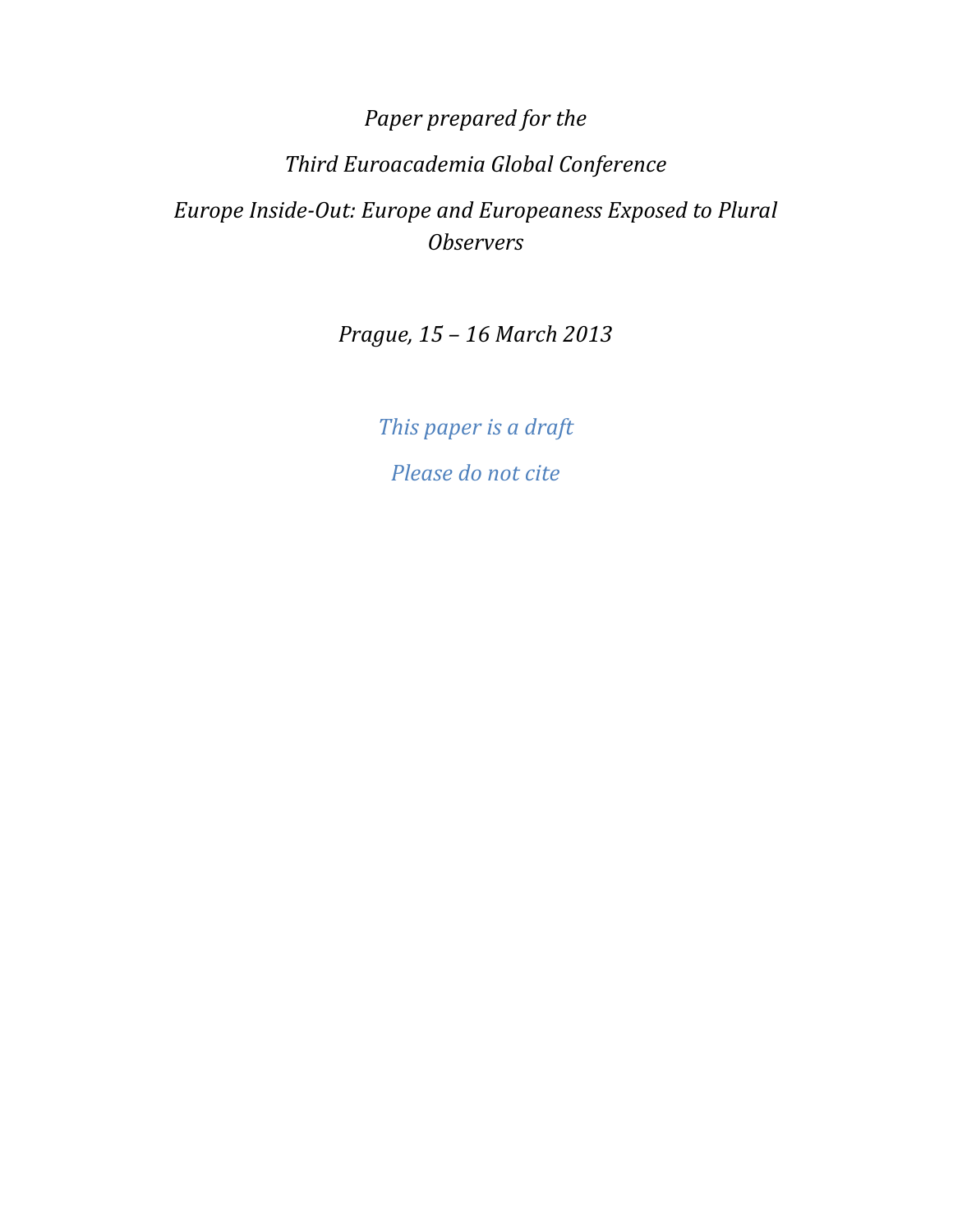# Paper prepared for the Third Euroacademia Global Conference Europe Inside-Out: Europe and Europeaness Exposed to Plural **Observers**

Prague, 15 – 16 March 2013

This paper is a draft Please do not cite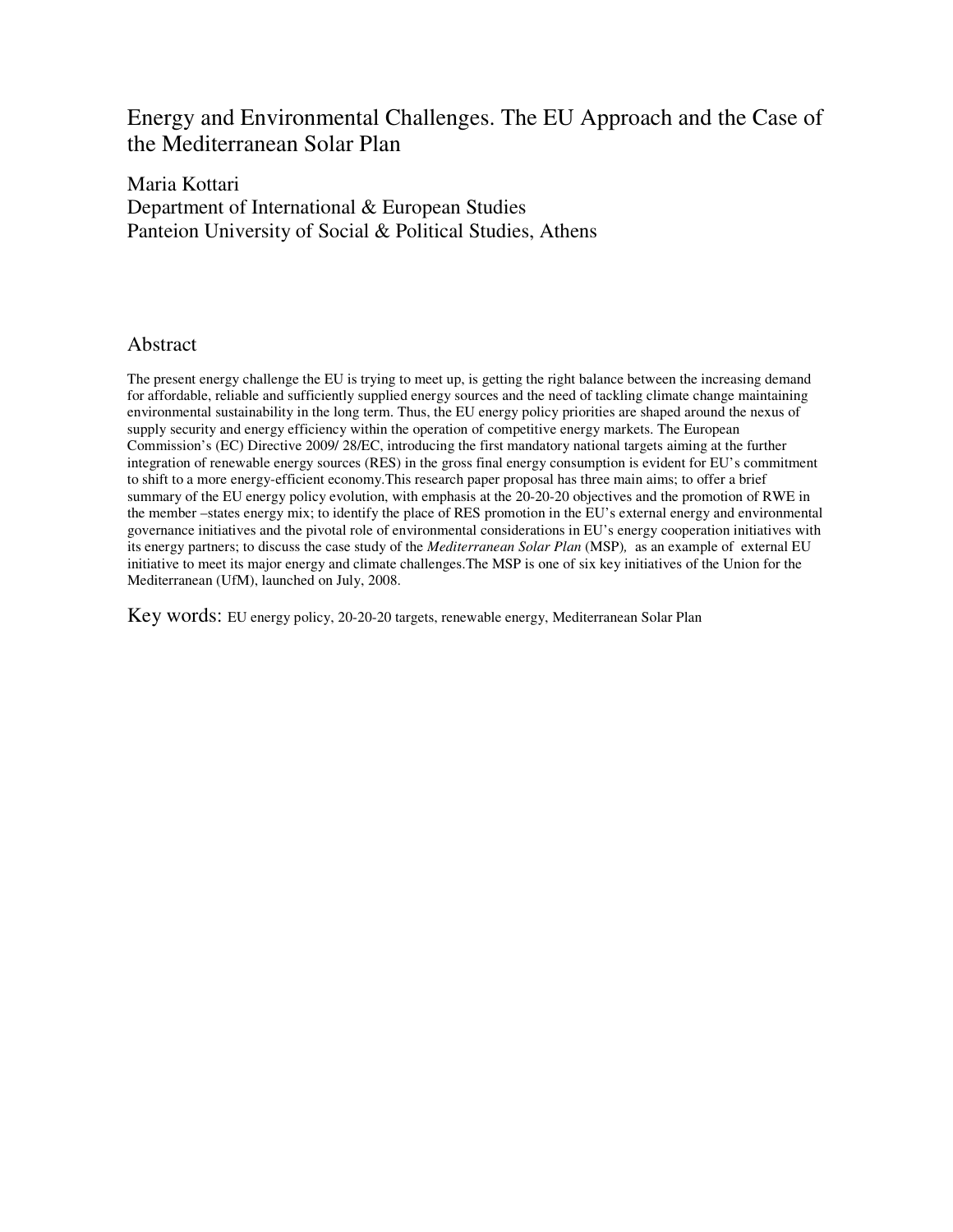# Energy and Environmental Challenges. The EU Approach and the Case of the Mediterranean Solar Plan

### Maria Kottari Department of International & European Studies Panteion University of Social & Political Studies, Athens

#### Abstract

The present energy challenge the EU is trying to meet up, is getting the right balance between the increasing demand for affordable, reliable and sufficiently supplied energy sources and the need of tackling climate change maintaining environmental sustainability in the long term. Thus, the EU energy policy priorities are shaped around the nexus of supply security and energy efficiency within the operation of competitive energy markets. The European Commission's (EC) Directive 2009/ 28/EC, introducing the first mandatory national targets aiming at the further integration of renewable energy sources (RES) in the gross final energy consumption is evident for EU's commitment to shift to a more energy-efficient economy.This research paper proposal has three main aims; to offer a brief summary of the EU energy policy evolution, with emphasis at the 20-20-20 objectives and the promotion of RWE in the member –states energy mix; to identify the place of RES promotion in the EU's external energy and environmental governance initiatives and the pivotal role of environmental considerations in EU's energy cooperation initiatives with its energy partners; to discuss the case study of the *Mediterranean Solar Plan* (MSP)*,* as an example of external EU initiative to meet its major energy and climate challenges.The MSP is one of six key initiatives of the Union for the Mediterranean (UfM), launched on July, 2008.

Key words: EU energy policy, 20-20-20 targets, renewable energy, Mediterranean Solar Plan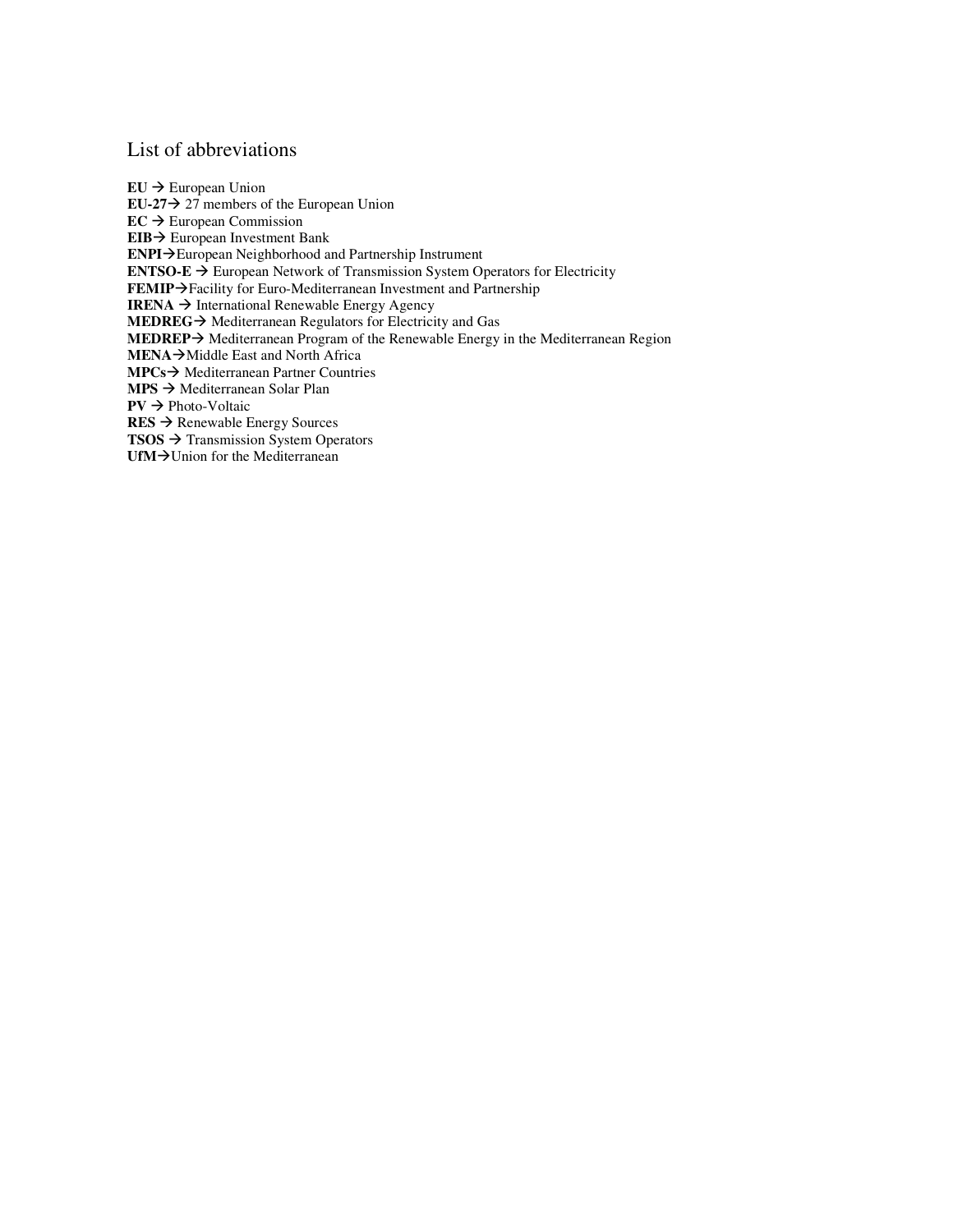#### List of abbreviations

 $EU \rightarrow European Union$ **EU-27** $\rightarrow$  27 members of the European Union  $EC \rightarrow$  European Commission **EIB** → European Investment Bank **ENPI** $\rightarrow$ European Neighborhood and Partnership Instrument **ENTSO-E**  $\rightarrow$  European Network of Transmission System Operators for Electricity **FEMIP**>Facility for Euro-Mediterranean Investment and Partnership **IRENA**  $\rightarrow$  International Renewable Energy Agency **MEDREG** > Mediterranean Regulators for Electricity and Gas **MEDREP** Mediterranean Program of the Renewable Energy in the Mediterranean Region **MENA**→Middle East and North Africa **MPCs** → Mediterranean Partner Countries **MPS** → Mediterranean Solar Plan  $PV \rightarrow Photo-Voltaic$  $RES$   $\rightarrow$  Renewable Energy Sources **TSOS → Transmission System Operators**  $UfM \rightarrow$ Union for the Mediterranean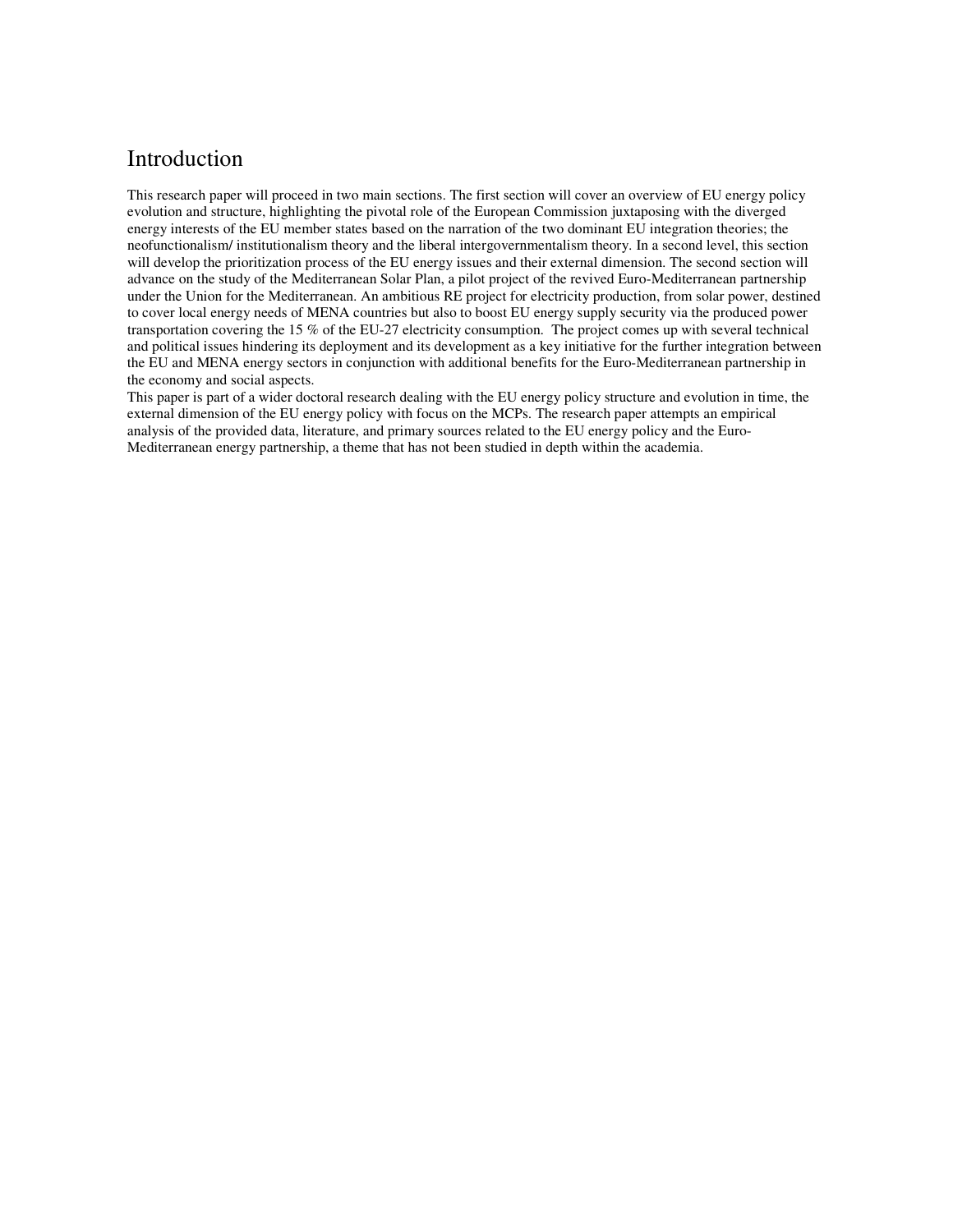## Introduction

This research paper will proceed in two main sections. The first section will cover an overview of EU energy policy evolution and structure, highlighting the pivotal role of the European Commission juxtaposing with the diverged energy interests of the EU member states based on the narration of the two dominant EU integration theories; the neofunctionalism/ institutionalism theory and the liberal intergovernmentalism theory. In a second level, this section will develop the prioritization process of the EU energy issues and their external dimension. The second section will advance on the study of the Mediterranean Solar Plan, a pilot project of the revived Euro-Mediterranean partnership under the Union for the Mediterranean. An ambitious RE project for electricity production, from solar power, destined to cover local energy needs of MENA countries but also to boost EU energy supply security via the produced power transportation covering the 15 % of the EU-27 electricity consumption. The project comes up with several technical and political issues hindering its deployment and its development as a key initiative for the further integration between the EU and MENA energy sectors in conjunction with additional benefits for the Euro-Mediterranean partnership in the economy and social aspects.

This paper is part of a wider doctoral research dealing with the EU energy policy structure and evolution in time, the external dimension of the EU energy policy with focus on the MCPs. The research paper attempts an empirical analysis of the provided data, literature, and primary sources related to the EU energy policy and the Euro-Mediterranean energy partnership, a theme that has not been studied in depth within the academia.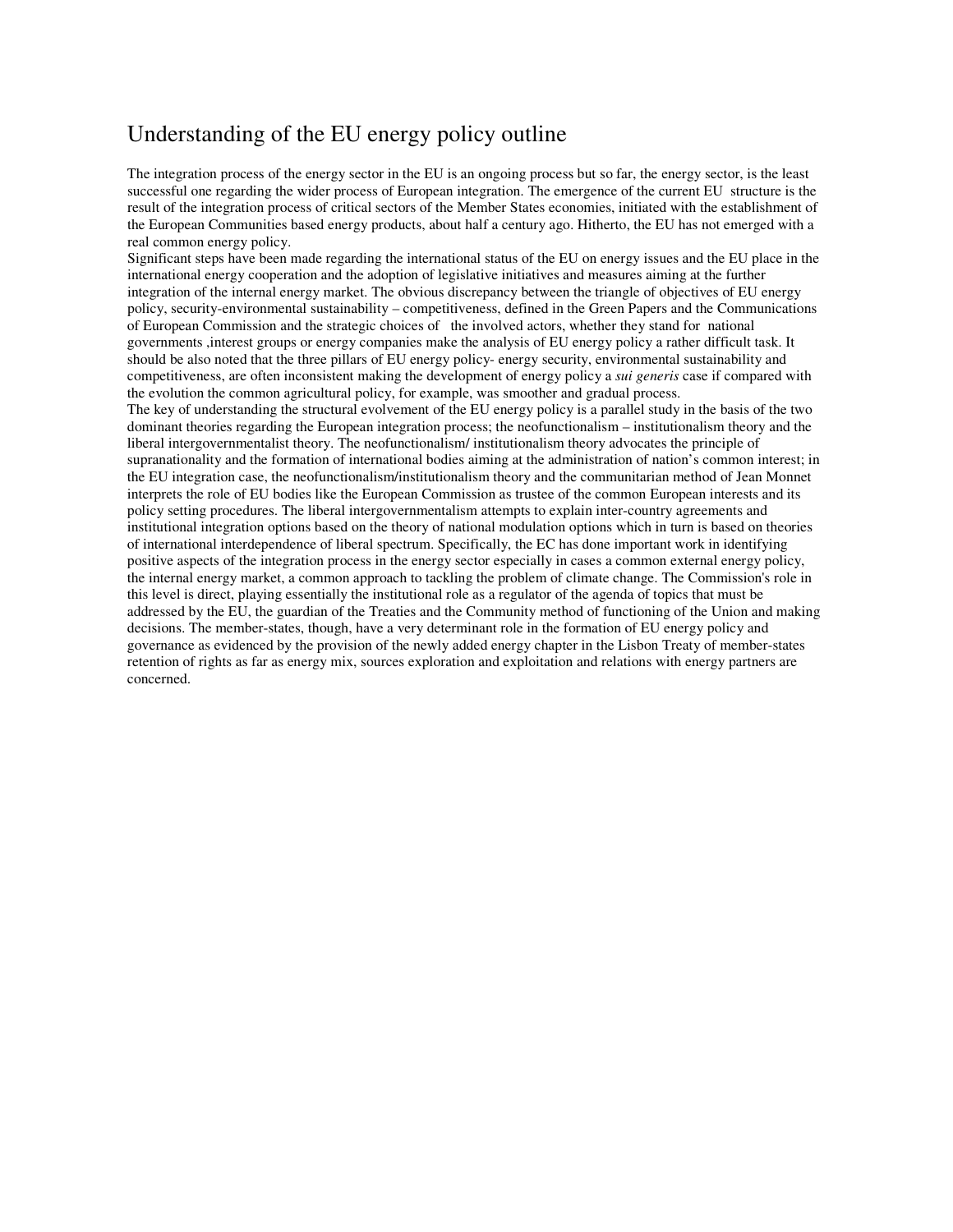## Understanding of the EU energy policy outline

The integration process of the energy sector in the EU is an ongoing process but so far, the energy sector, is the least successful one regarding the wider process of European integration. The emergence of the current EU structure is the result of the integration process of critical sectors of the Member States economies, initiated with the establishment of the European Communities based energy products, about half a century ago. Hitherto, the EU has not emerged with a real common energy policy.

Significant steps have been made regarding the international status of the EU on energy issues and the EU place in the international energy cooperation and the adoption of legislative initiatives and measures aiming at the further integration of the internal energy market. The obvious discrepancy between the triangle of objectives of EU energy policy, security-environmental sustainability – competitiveness, defined in the Green Papers and the Communications of European Commission and the strategic choices of the involved actors, whether they stand for national governments ,interest groups or energy companies make the analysis of EU energy policy a rather difficult task. It should be also noted that the three pillars of EU energy policy- energy security, environmental sustainability and competitiveness, are often inconsistent making the development of energy policy a *sui generis* case if compared with the evolution the common agricultural policy, for example, was smoother and gradual process.

The key of understanding the structural evolvement of the EU energy policy is a parallel study in the basis of the two dominant theories regarding the European integration process; the neofunctionalism – institutionalism theory and the liberal intergovernmentalist theory. The neofunctionalism/ institutionalism theory advocates the principle of supranationality and the formation of international bodies aiming at the administration of nation's common interest; in the EU integration case, the neofunctionalism/institutionalism theory and the communitarian method of Jean Monnet interprets the role of EU bodies like the European Commission as trustee of the common European interests and its policy setting procedures. The liberal intergovernmentalism attempts to explain inter-country agreements and institutional integration options based on the theory of national modulation options which in turn is based on theories of international interdependence of liberal spectrum. Specifically, the EC has done important work in identifying positive aspects of the integration process in the energy sector especially in cases a common external energy policy, the internal energy market, a common approach to tackling the problem of climate change. The Commission's role in this level is direct, playing essentially the institutional role as a regulator of the agenda of topics that must be addressed by the EU, the guardian of the Treaties and the Community method of functioning of the Union and making decisions. The member-states, though, have a very determinant role in the formation of EU energy policy and governance as evidenced by the provision of the newly added energy chapter in the Lisbon Treaty of member-states retention of rights as far as energy mix, sources exploration and exploitation and relations with energy partners are concerned.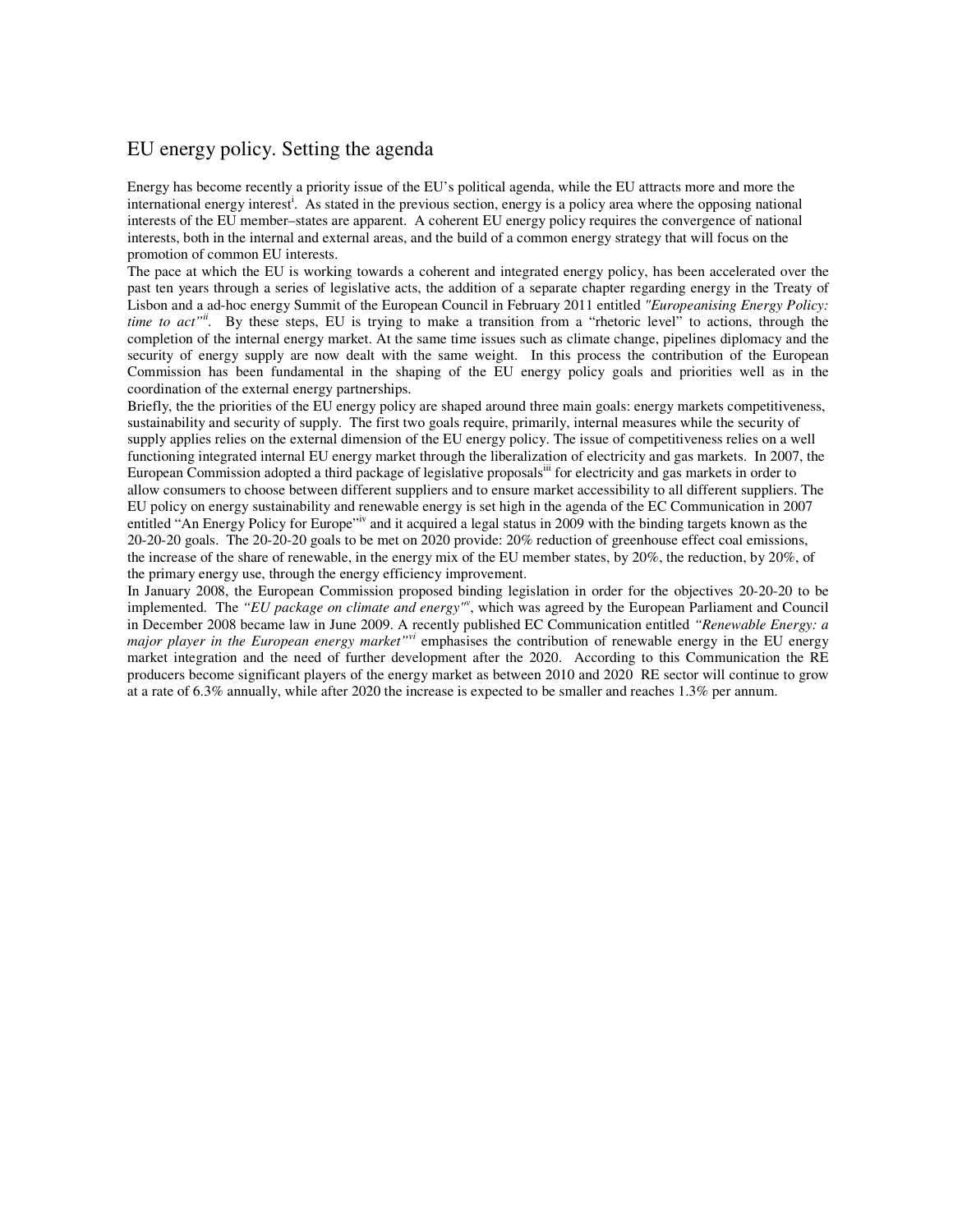#### EU energy policy. Setting the agenda

Energy has become recently a priority issue of the EU's political agenda, while the EU attracts more and more the international energy interest<sup>i</sup>. As stated in the previous section, energy is a policy area where the opposing national interests of the EU member–states are apparent. A coherent EU energy policy requires the convergence of national interests, both in the internal and external areas, and the build of a common energy strategy that will focus on the promotion of common EU interests.

The pace at which the EU is working towards a coherent and integrated energy policy, has been accelerated over the past ten years through a series of legislative acts, the addition of a separate chapter regarding energy in the Treaty of Lisbon and a ad-hoc energy Summit of the European Council in February 2011 entitled *"Europeanising Energy Policy: time to act*<sup>"*ii*</sup>. By these steps, EU is trying to make a transition from a "rhetoric level" to actions, through the completion of the internal energy market. At the same time issues such as climate change, pipelines diplomacy and the security of energy supply are now dealt with the same weight. In this process the contribution of the European Commission has been fundamental in the shaping of the EU energy policy goals and priorities well as in the coordination of the external energy partnerships.

Briefly, the the priorities of the EU energy policy are shaped around three main goals: energy markets competitiveness, sustainability and security of supply. The first two goals require, primarily, internal measures while the security of supply applies relies on the external dimension of the EU energy policy. The issue of competitiveness relies on a well functioning integrated internal EU energy market through the liberalization of electricity and gas markets. In 2007, the European Commission adopted a third package of legislative proposals<sup>iii</sup> for electricity and gas markets in order to allow consumers to choose between different suppliers and to ensure market accessibility to all different suppliers. The EU policy on energy sustainability and renewable energy is set high in the agenda of the EC Communication in 2007 entitled "An Energy Policy for Europe"<sup>iv</sup> and it acquired a legal status in 2009 with the binding targets known as the 20-20-20 goals. The 20-20-20 goals to be met on 2020 provide: 20% reduction of greenhouse effect coal emissions, the increase of the share of renewable, in the energy mix of the EU member states, by 20%, the reduction, by 20%, of the primary energy use, through the energy efficiency improvement.

In January 2008, the European Commission proposed binding legislation in order for the objectives 20-20-20 to be implemented. The *"EU package on climate and energy"<sup>v</sup>* , which was agreed by the European Parliament and Council in December 2008 became law in June 2009. A recently published EC Communication entitled *"Renewable Energy: a major player in the European energy market"vi* emphasises the contribution of renewable energy in the EU energy market integration and the need of further development after the 2020. According to this Communication the RE producers become significant players of the energy market as between 2010 and 2020 RE sector will continue to grow at a rate of 6.3% annually, while after 2020 the increase is expected to be smaller and reaches 1.3% per annum.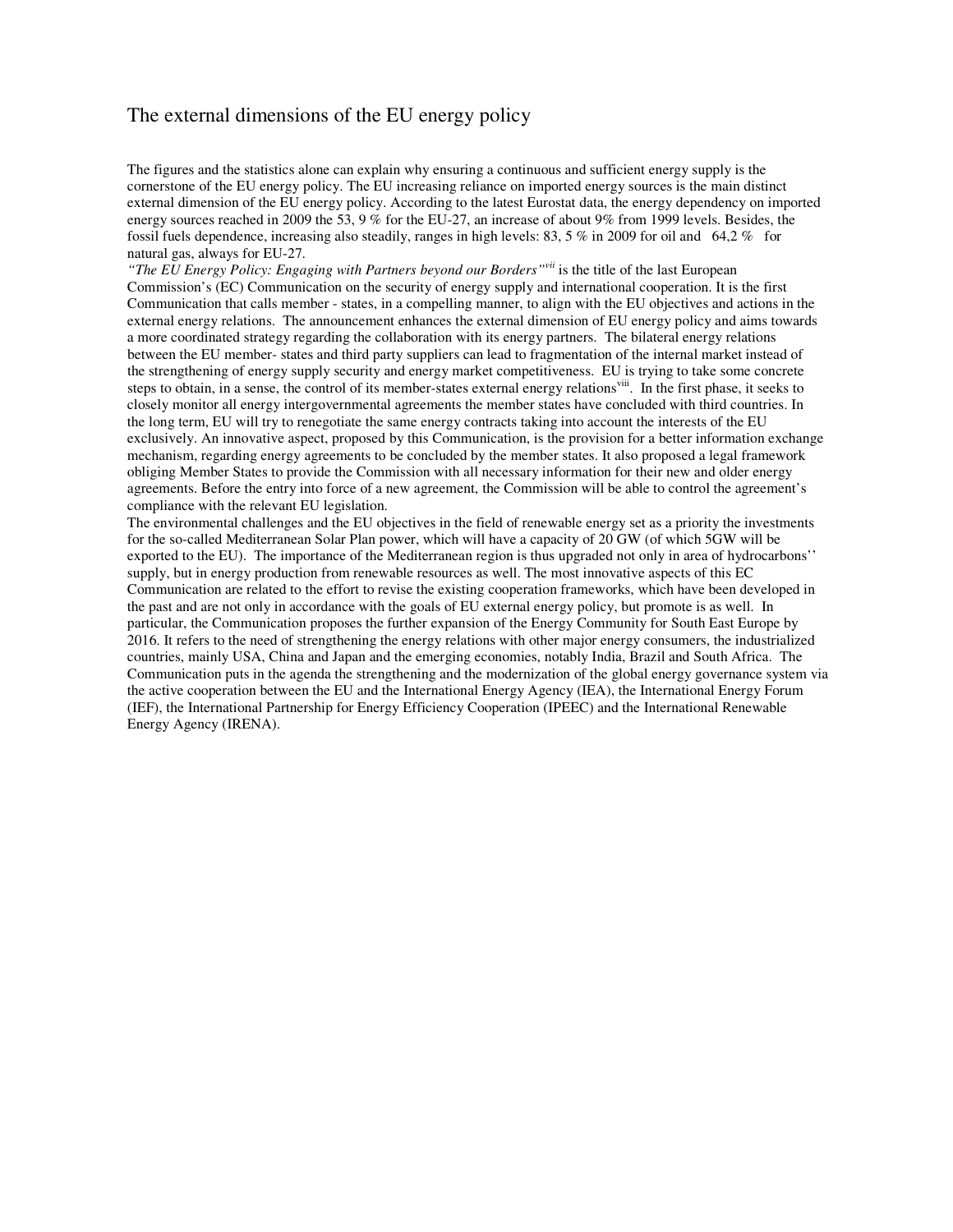#### The external dimensions of the EU energy policy

The figures and the statistics alone can explain why ensuring a continuous and sufficient energy supply is the cornerstone of the EU energy policy. The EU increasing reliance on imported energy sources is the main distinct external dimension of the EU energy policy. According to the latest Eurostat data, the energy dependency on imported energy sources reached in 2009 the 53, 9 % for the EU-27, an increase of about 9% from 1999 levels. Besides, the fossil fuels dependence, increasing also steadily, ranges in high levels: 83, 5 % in 2009 for oil and 64,2 % for natural gas, always for EU-27.

*"The EU Energy Policy: Engaging with Partners beyond our Borders"vii* is the title of the last European Commission's (EC) Communication on the security of energy supply and international cooperation. It is the first Communication that calls member - states, in a compelling manner, to align with the EU objectives and actions in the external energy relations. The announcement enhances the external dimension of EU energy policy and aims towards a more coordinated strategy regarding the collaboration with its energy partners. The bilateral energy relations between the EU member- states and third party suppliers can lead to fragmentation of the internal market instead of the strengthening of energy supply security and energy market competitiveness. EU is trying to take some concrete steps to obtain, in a sense, the control of its member-states external energy relations<sup>viii</sup>. In the first phase, it seeks to closely monitor all energy intergovernmental agreements the member states have concluded with third countries. In the long term, EU will try to renegotiate the same energy contracts taking into account the interests of the EU exclusively. An innovative aspect, proposed by this Communication, is the provision for a better information exchange mechanism, regarding energy agreements to be concluded by the member states. It also proposed a legal framework obliging Member States to provide the Commission with all necessary information for their new and older energy agreements. Before the entry into force of a new agreement, the Commission will be able to control the agreement's compliance with the relevant EU legislation.

The environmental challenges and the EU objectives in the field of renewable energy set as a priority the investments for the so-called Mediterranean Solar Plan power, which will have a capacity of 20 GW (of which 5GW will be exported to the EU). The importance of the Mediterranean region is thus upgraded not only in area of hydrocarbons'' supply, but in energy production from renewable resources as well. The most innovative aspects of this EC Communication are related to the effort to revise the existing cooperation frameworks, which have been developed in the past and are not only in accordance with the goals of EU external energy policy, but promote is as well. In particular, the Communication proposes the further expansion of the Energy Community for South East Europe by 2016. It refers to the need of strengthening the energy relations with other major energy consumers, the industrialized countries, mainly USA, China and Japan and the emerging economies, notably India, Brazil and South Africa. The Communication puts in the agenda the strengthening and the modernization of the global energy governance system via the active cooperation between the EU and the International Energy Agency (IEA), the International Energy Forum (IEF), the International Partnership for Energy Efficiency Cooperation (IPEEC) and the International Renewable Energy Agency (IRENA).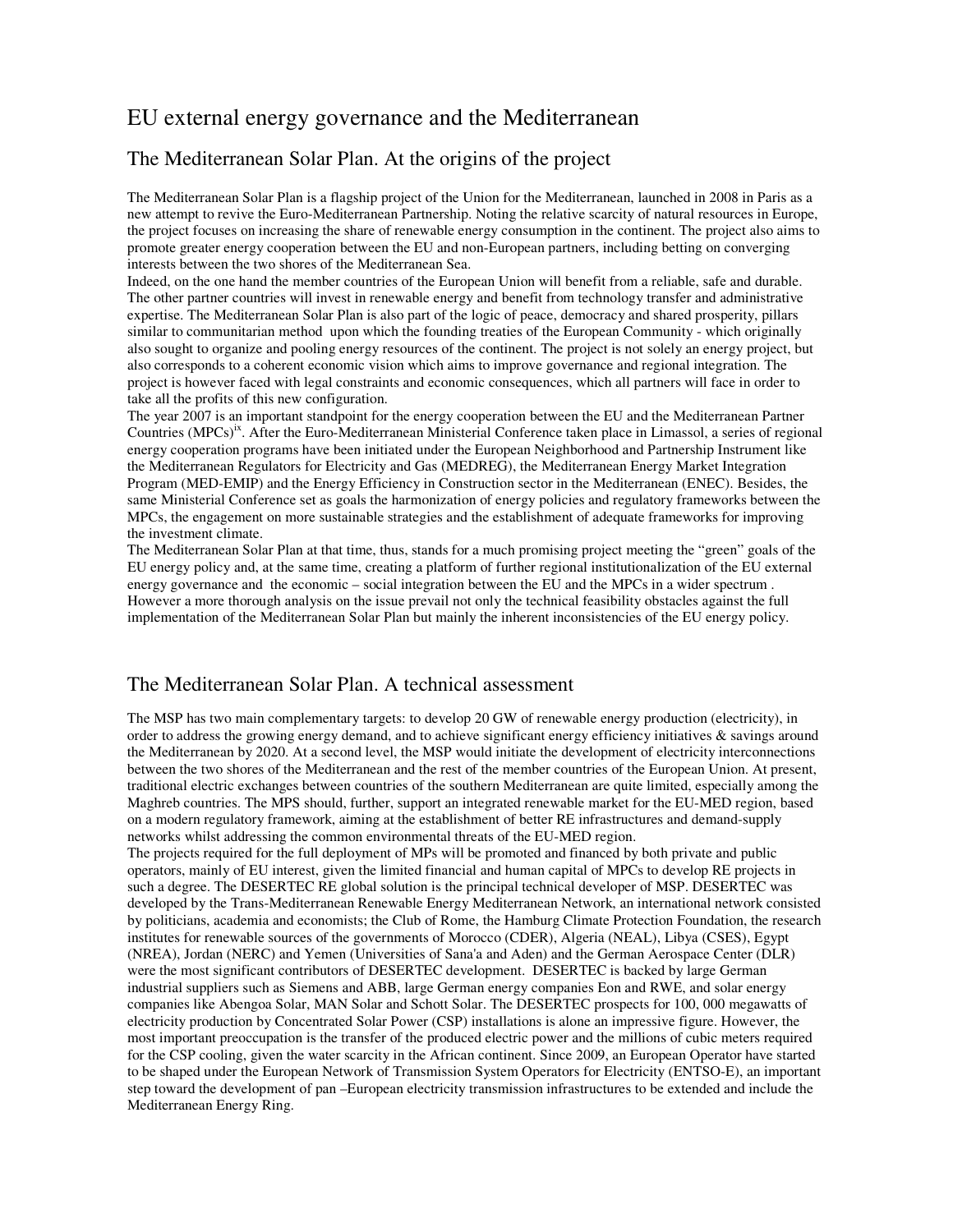## EU external energy governance and the Mediterranean

#### The Mediterranean Solar Plan. At the origins of the project

The Mediterranean Solar Plan is a flagship project of the Union for the Mediterranean, launched in 2008 in Paris as a new attempt to revive the Euro-Mediterranean Partnership. Noting the relative scarcity of natural resources in Europe, the project focuses on increasing the share of renewable energy consumption in the continent. The project also aims to promote greater energy cooperation between the EU and non-European partners, including betting on converging interests between the two shores of the Mediterranean Sea.

Indeed, on the one hand the member countries of the European Union will benefit from a reliable, safe and durable. The other partner countries will invest in renewable energy and benefit from technology transfer and administrative expertise. The Mediterranean Solar Plan is also part of the logic of peace, democracy and shared prosperity, pillars similar to communitarian method upon which the founding treaties of the European Community - which originally also sought to organize and pooling energy resources of the continent. The project is not solely an energy project, but also corresponds to a coherent economic vision which aims to improve governance and regional integration. The project is however faced with legal constraints and economic consequences, which all partners will face in order to take all the profits of this new configuration.

The year 2007 is an important standpoint for the energy cooperation between the EU and the Mediterranean Partner Countries (MPCs)<sup>ix</sup>. After the Euro-Mediterranean Ministerial Conference taken place in Limassol, a series of regional energy cooperation programs have been initiated under the European Neighborhood and Partnership Instrument like the Mediterranean Regulators for Electricity and Gas (MEDREG), the Mediterranean Energy Market Integration Program (MED-EMIP) and the Energy Efficiency in Construction sector in the Mediterranean (ENEC). Besides, the same Ministerial Conference set as goals the harmonization of energy policies and regulatory frameworks between the MPCs, the engagement on more sustainable strategies and the establishment of adequate frameworks for improving the investment climate.

The Mediterranean Solar Plan at that time, thus, stands for a much promising project meeting the "green" goals of the EU energy policy and, at the same time, creating a platform of further regional institutionalization of the EU external energy governance and the economic – social integration between the EU and the MPCs in a wider spectrum . However a more thorough analysis on the issue prevail not only the technical feasibility obstacles against the full implementation of the Mediterranean Solar Plan but mainly the inherent inconsistencies of the EU energy policy.

#### The Mediterranean Solar Plan. A technical assessment

The MSP has two main complementary targets: to develop 20 GW of renewable energy production (electricity), in order to address the growing energy demand, and to achieve significant energy efficiency initiatives & savings around the Mediterranean by 2020. At a second level, the MSP would initiate the development of electricity interconnections between the two shores of the Mediterranean and the rest of the member countries of the European Union. At present, traditional electric exchanges between countries of the southern Mediterranean are quite limited, especially among the Maghreb countries. The MPS should, further, support an integrated renewable market for the EU-MED region, based on a modern regulatory framework, aiming at the establishment of better RE infrastructures and demand-supply networks whilst addressing the common environmental threats of the EU-MED region.

The projects required for the full deployment of MPs will be promoted and financed by both private and public operators, mainly of EU interest, given the limited financial and human capital of MPCs to develop RE projects in such a degree. The DESERTEC RE global solution is the principal technical developer of MSP. DESERTEC was developed by the Trans-Mediterranean Renewable Energy Mediterranean Network, an international network consisted by politicians, academia and economists; the Club of Rome, the Hamburg Climate Protection Foundation, the research institutes for renewable sources of the governments of Morocco (CDER), Algeria (NEAL), Libya (CSES), Egypt (NREA), Jordan (NERC) and Yemen (Universities of Sana'a and Aden) and the German Aerospace Center (DLR) were the most significant contributors of DESERTEC development. DESERTEC is backed by large German industrial suppliers such as Siemens and ABB, large German energy companies Eon and RWE, and solar energy companies like Abengoa Solar, MAN Solar and Schott Solar. The DESERTEC prospects for 100, 000 megawatts of electricity production by Concentrated Solar Power (CSP) installations is alone an impressive figure. However, the most important preoccupation is the transfer of the produced electric power and the millions of cubic meters required for the CSP cooling, given the water scarcity in the African continent. Since 2009, an European Operator have started to be shaped under the European Network of Transmission System Operators for Electricity (ENTSO-E), an important step toward the development of pan –European electricity transmission infrastructures to be extended and include the Mediterranean Energy Ring.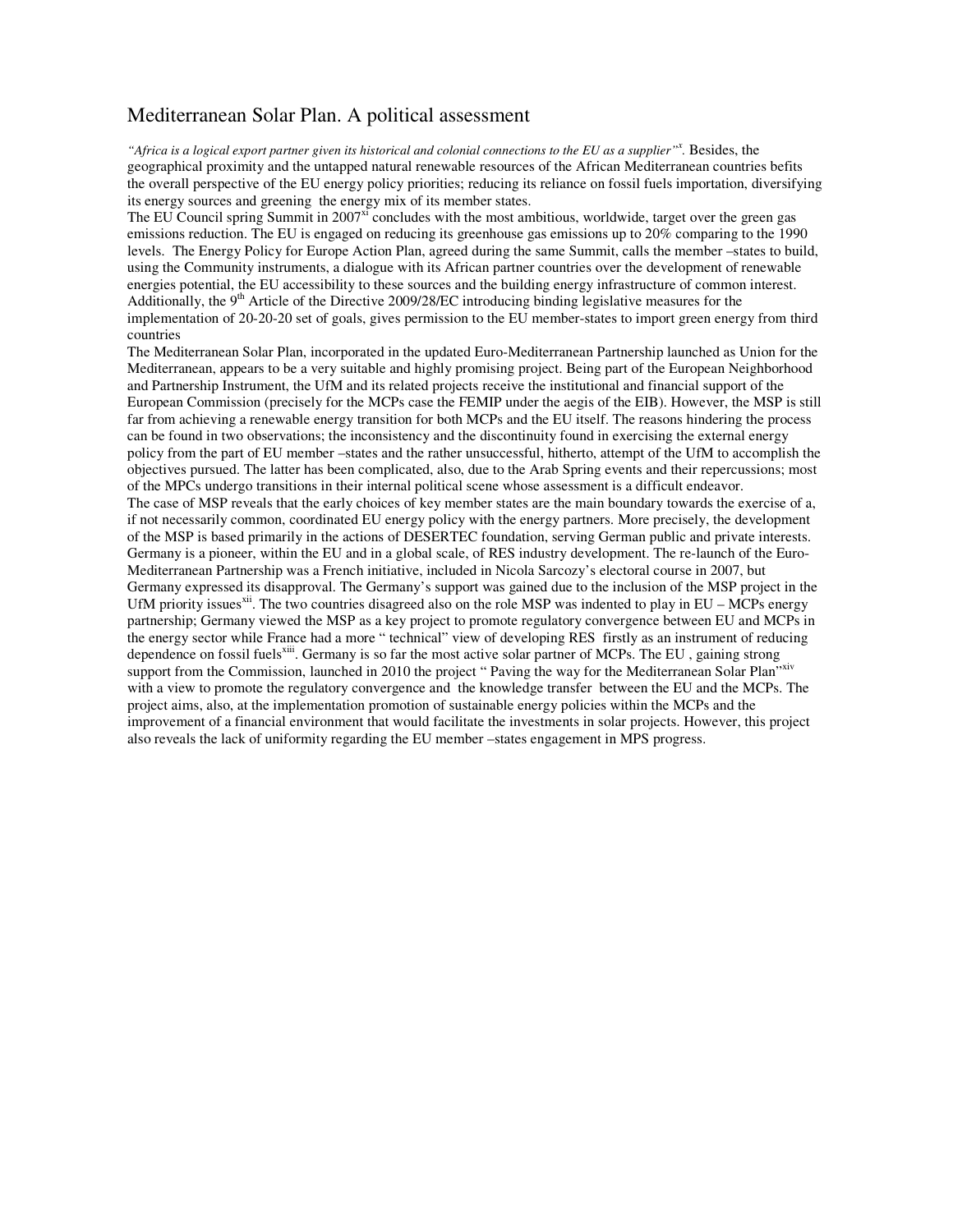#### Mediterranean Solar Plan. A political assessment

*"Africa is a logical export partner given its historical and colonial connections to the EU as a supplier"<sup>x</sup> .* Besides, the geographical proximity and the untapped natural renewable resources of the African Mediterranean countries befits the overall perspective of the EU energy policy priorities; reducing its reliance on fossil fuels importation, diversifying its energy sources and greening the energy mix of its member states.

The EU Council spring Summit in 2007 $^{\rm xi}$  concludes with the most ambitious, worldwide, target over the green gas emissions reduction. The EU is engaged on reducing its greenhouse gas emissions up to 20% comparing to the 1990 levels. The Energy Policy for Europe Action Plan, agreed during the same Summit, calls the member –states to build, using the Community instruments, a dialogue with its African partner countries over the development of renewable energies potential, the EU accessibility to these sources and the building energy infrastructure of common interest. Additionally, the  $9<sup>th</sup>$  Article of the Directive 2009/28/EC introducing binding legislative measures for the implementation of 20-20-20 set of goals, gives permission to the EU member-states to import green energy from third countries

The Mediterranean Solar Plan, incorporated in the updated Euro-Mediterranean Partnership launched as Union for the Mediterranean, appears to be a very suitable and highly promising project. Being part of the European Neighborhood and Partnership Instrument, the UfM and its related projects receive the institutional and financial support of the European Commission (precisely for the MCPs case the FEMIP under the aegis of the EIB). However, the MSP is still far from achieving a renewable energy transition for both MCPs and the EU itself. The reasons hindering the process can be found in two observations; the inconsistency and the discontinuity found in exercising the external energy policy from the part of EU member –states and the rather unsuccessful, hitherto, attempt of the UfM to accomplish the objectives pursued. The latter has been complicated, also, due to the Arab Spring events and their repercussions; most of the MPCs undergo transitions in their internal political scene whose assessment is a difficult endeavor. The case of MSP reveals that the early choices of key member states are the main boundary towards the exercise of a, if not necessarily common, coordinated EU energy policy with the energy partners. More precisely, the development of the MSP is based primarily in the actions of DESERTEC foundation, serving German public and private interests. Germany is a pioneer, within the EU and in a global scale, of RES industry development. The re-launch of the Euro-Mediterranean Partnership was a French initiative, included in Nicola Sarcozy's electoral course in 2007, but Germany expressed its disapproval. The Germany's support was gained due to the inclusion of the MSP project in the UfM priority issues<sup>xii</sup>. The two countries disagreed also on the role MSP was indented to play in  $EU - MCPs$  energy partnership; Germany viewed the MSP as a key project to promote regulatory convergence between EU and MCPs in the energy sector while France had a more " technical" view of developing RES firstly as an instrument of reducing dependence on fossil fuels<sup>xiii</sup>. Germany is so far the most active solar partner of MCPs. The EU, gaining strong support from the Commission, launched in 2010 the project "Paving the way for the Mediterranean Solar Plan"xiv with a view to promote the regulatory convergence and the knowledge transfer between the EU and the MCPs. The project aims, also, at the implementation promotion of sustainable energy policies within the MCPs and the improvement of a financial environment that would facilitate the investments in solar projects. However, this project also reveals the lack of uniformity regarding the EU member –states engagement in MPS progress.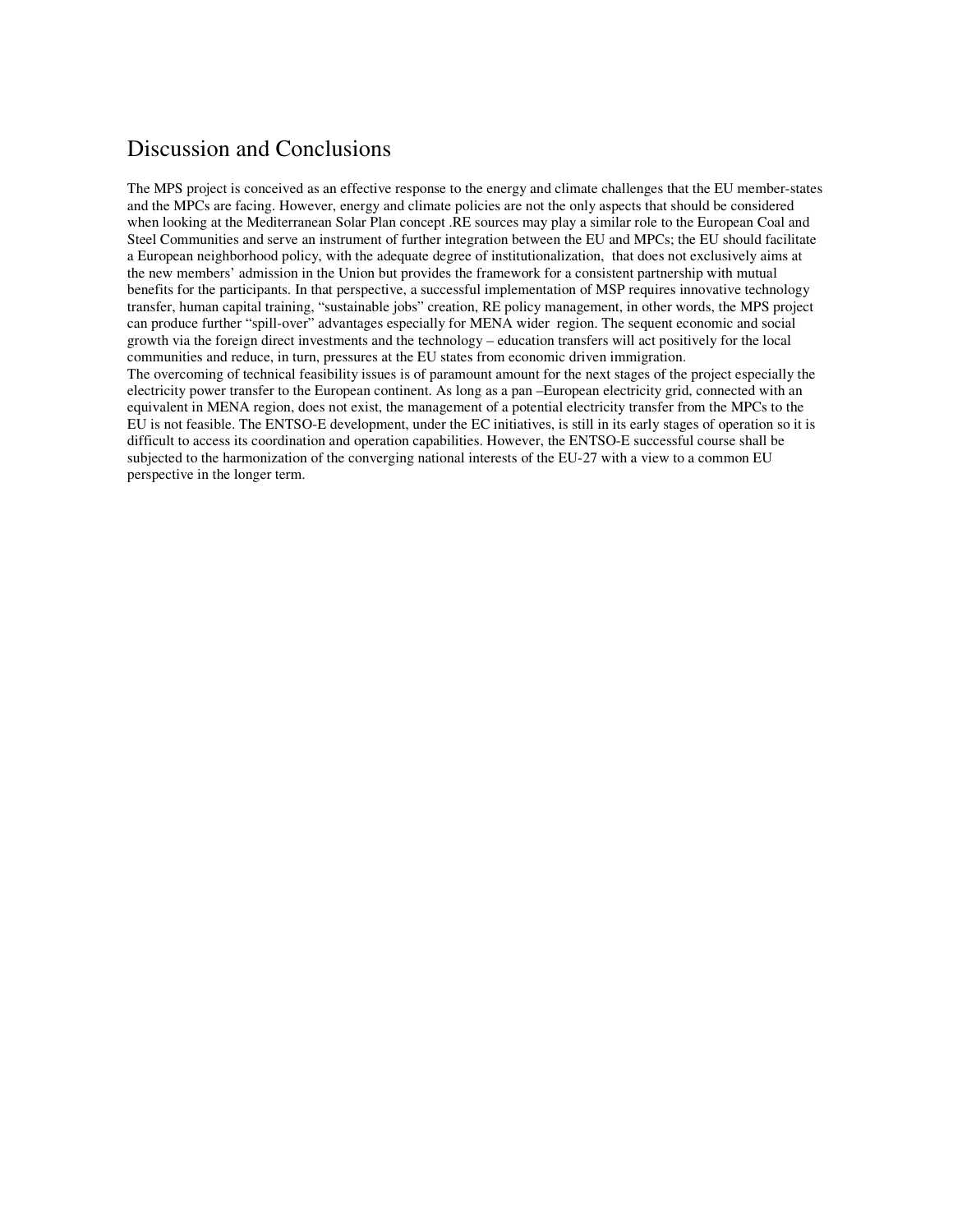## Discussion and Conclusions

The MPS project is conceived as an effective response to the energy and climate challenges that the EU member-states and the MPCs are facing. However, energy and climate policies are not the only aspects that should be considered when looking at the Mediterranean Solar Plan concept .RE sources may play a similar role to the European Coal and Steel Communities and serve an instrument of further integration between the EU and MPCs; the EU should facilitate a European neighborhood policy, with the adequate degree of institutionalization, that does not exclusively aims at the new members' admission in the Union but provides the framework for a consistent partnership with mutual benefits for the participants. In that perspective, a successful implementation of MSP requires innovative technology transfer, human capital training, "sustainable jobs" creation, RE policy management, in other words, the MPS project can produce further "spill-over" advantages especially for MENA wider region. The sequent economic and social growth via the foreign direct investments and the technology – education transfers will act positively for the local communities and reduce, in turn, pressures at the EU states from economic driven immigration. The overcoming of technical feasibility issues is of paramount amount for the next stages of the project especially the electricity power transfer to the European continent. As long as a pan –European electricity grid, connected with an equivalent in MENA region, does not exist, the management of a potential electricity transfer from the MPCs to the EU is not feasible. The ENTSO-E development, under the EC initiatives, is still in its early stages of operation so it is difficult to access its coordination and operation capabilities. However, the ENTSO-E successful course shall be subjected to the harmonization of the converging national interests of the EU-27 with a view to a common EU perspective in the longer term.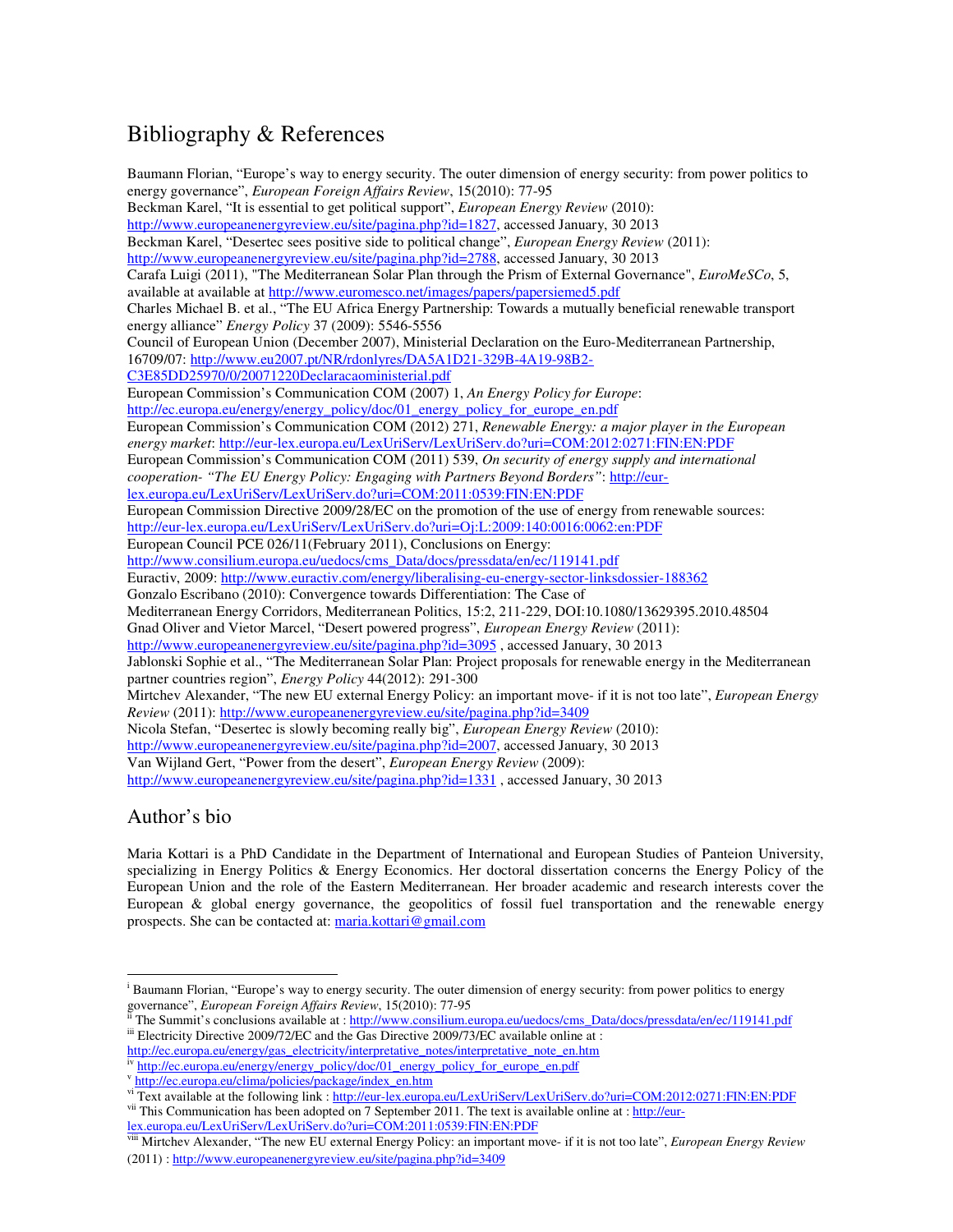# Bibliography & References

Baumann Florian, "Europe's way to energy security. The outer dimension of energy security: from power politics to energy governance", *European Foreign Affairs Review*, 15(2010): 77-95 Beckman Karel, "It is essential to get political support", *European Energy Review* (2010): http://www.europeanenergyreview.eu/site/pagina.php?id=1827, accessed January, 30 2013 Beckman Karel, "Desertec sees positive side to political change", *European Energy Review* (2011): http://www.europeanenergyreview.eu/site/pagina.php?id=2788, accessed January, 30 2013 Carafa Luigi (2011), "The Mediterranean Solar Plan through the Prism of External Governance", *EuroMeSCo*, 5, available at available at http://www.euromesco.net/images/papers/papersiemed5.pdf Charles Michael B. et al., "The EU Africa Energy Partnership: Towards a mutually beneficial renewable transport energy alliance" *Energy Policy* 37 (2009): 5546-5556 Council of European Union (December 2007), Ministerial Declaration on the Euro-Mediterranean Partnership, 16709/07: http://www.eu2007.pt/NR/rdonlyres/DA5A1D21-329B-4A19-98B2- C3E85DD25970/0/20071220Declaracaoministerial.pdf European Commission's Communication COM (2007) 1, *An Energy Policy for Europe*: http://ec.europa.eu/energy/energy\_policy/doc/01\_energy\_policy\_for\_europe\_en.pdf European Commission's Communication COM (2012) 271, *Renewable Energy: a major player in the European energy market*: http://eur-lex.europa.eu/LexUriServ/LexUriServ.do?uri=COM:2012:0271:FIN:EN:PDF European Commission's Communication COM (2011) 539, *On security of energy supply and international cooperation- "The EU Energy Policy: Engaging with Partners Beyond Borders"*: http://eurlex.europa.eu/LexUriServ/LexUriServ.do?uri=COM:2011:0539:FIN:EN:PDF European Commission Directive 2009/28/EC on the promotion of the use of energy from renewable sources: http://eur-lex.europa.eu/LexUriServ/LexUriServ.do?uri=Oj:L:2009:140:0016:0062:en:PDF European Council PCE 026/11(February 2011), Conclusions on Energy: http://www.consilium.europa.eu/uedocs/cms\_Data/docs/pressdata/en/ec/119141.pdf Euractiv, 2009: http://www.euractiv.com/energy/liberalising-eu-energy-sector-linksdossier-188362 Gonzalo Escribano (2010): Convergence towards Differentiation: The Case of Mediterranean Energy Corridors, Mediterranean Politics, 15:2, 211-229, DOI:10.1080/13629395.2010.48504 Gnad Oliver and Vietor Marcel, "Desert powered progress", *European Energy Review* (2011): http://www.europeanenergyreview.eu/site/pagina.php?id=3095, accessed January, 30 2013 Jablonski Sophie et al., "The Mediterranean Solar Plan: Project proposals for renewable energy in the Mediterranean partner countries region", *Energy Policy* 44(2012): 291-300 Mirtchev Alexander, "The new EU external Energy Policy: an important move- if it is not too late", *European Energy Review* (2011): http://www.europeanenergyreview.eu/site/pagina.php?id=3409 Nicola Stefan, "Desertec is slowly becoming really big", *European Energy Review* (2010): http://www.europeanenergyreview.eu/site/pagina.php?id=2007, accessed January, 30 2013 Van Wijland Gert, "Power from the desert", *European Energy Review* (2009): http://www.europeanenergyreview.eu/site/pagina.php?id=1331, accessed January, 30 2013

#### Author's bio

 $\overline{a}$ 

Maria Kottari is a PhD Candidate in the Department of International and European Studies of Panteion University, specializing in Energy Politics & Energy Economics. Her doctoral dissertation concerns the Energy Policy of the European Union and the role of the Eastern Mediterranean. Her broader academic and research interests cover the European & global energy governance, the geopolitics of fossil fuel transportation and the renewable energy prospects. She can be contacted at: maria.kottari@gmail.com

i Baumann Florian, "Europe's way to energy security. The outer dimension of energy security: from power politics to energy governance", *European Foreign Affairs Review*, 15(2010): 77-95

The Summit's conclusions available at : http://www.consilium.europa.eu/uedocs/cms\_Data/docs/pressdata/en/ec/119141.pdf iii Electricity Directive 2009/72/EC and the Gas Directive 2009/73/EC available online at :

http://ec.europa.eu/energy/gas\_electricity/interpretative\_notes/interpretative\_note\_en.htm http://ec.europa.eu/energy/energy\_policy/doc/01\_energy\_policy\_for\_europe\_en.pdf

v http://ec.europa.eu/clima/policies/package/index\_en.htm

vi Text available at the following link : http://eur-lex.europa.eu/LexUriServ/LexUriServ.do?uri=COM:2012:0271:FIN:EN:PDF vii This Communication has been adopted on 7 September 2011. The text is available online at : http://eur-

lex.europa.eu/LexUriServ/LexUriServ.do?uri=COM:2011:0539:FIN:EN:PDF

viii Mirtchev Alexander, "The new EU external Energy Policy: an important move- if it is not too late", *European Energy Review* (2011) : http://www.europeanenergyreview.eu/site/pagina.php?id=3409